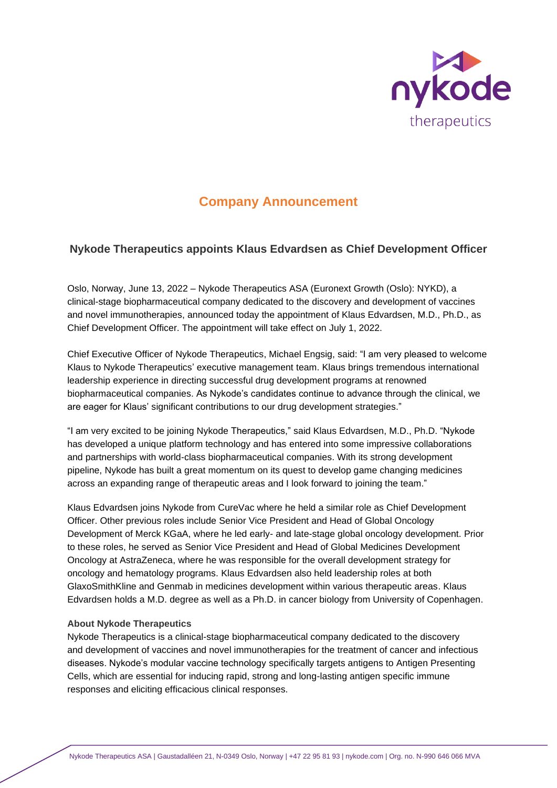

# **Company Announcement**

# **Nykode Therapeutics appoints Klaus Edvardsen as Chief Development Officer**

Oslo, Norway, June 13, 2022 – Nykode Therapeutics ASA (Euronext Growth (Oslo): NYKD), a clinical-stage biopharmaceutical company dedicated to the discovery and development of vaccines and novel immunotherapies, announced today the appointment of Klaus Edvardsen, M.D., Ph.D., as Chief Development Officer. The appointment will take effect on July 1, 2022.

Chief Executive Officer of Nykode Therapeutics, Michael Engsig, said: "I am very pleased to welcome Klaus to Nykode Therapeutics' executive management team. Klaus brings tremendous international leadership experience in directing successful drug development programs at renowned biopharmaceutical companies. As Nykode's candidates continue to advance through the clinical, we are eager for Klaus' significant contributions to our drug development strategies."

"I am very excited to be joining Nykode Therapeutics," said Klaus Edvardsen, M.D., Ph.D. "Nykode has developed a unique platform technology and has entered into some impressive collaborations and partnerships with world-class biopharmaceutical companies. With its strong development pipeline, Nykode has built a great momentum on its quest to develop game changing medicines across an expanding range of therapeutic areas and I look forward to joining the team."

Klaus Edvardsen joins Nykode from CureVac where he held a similar role as Chief Development Officer. Other previous roles include Senior Vice President and Head of Global Oncology Development of Merck KGaA, where he led early- and late-stage global oncology development. Prior to these roles, he served as Senior Vice President and Head of Global Medicines Development Oncology at AstraZeneca, where he was responsible for the overall development strategy for oncology and hematology programs. Klaus Edvardsen also held leadership roles at both GlaxoSmithKline and Genmab in medicines development within various therapeutic areas. Klaus Edvardsen holds a M.D. degree as well as a Ph.D. in cancer biology from University of Copenhagen.

# **About Nykode Therapeutics**

Nykode Therapeutics is a clinical-stage biopharmaceutical company dedicated to the discovery and development of vaccines and novel immunotherapies for the treatment of cancer and infectious diseases. Nykode's modular vaccine technology specifically targets antigens to Antigen Presenting Cells, which are essential for inducing rapid, strong and long-lasting antigen specific immune responses and eliciting efficacious clinical responses.